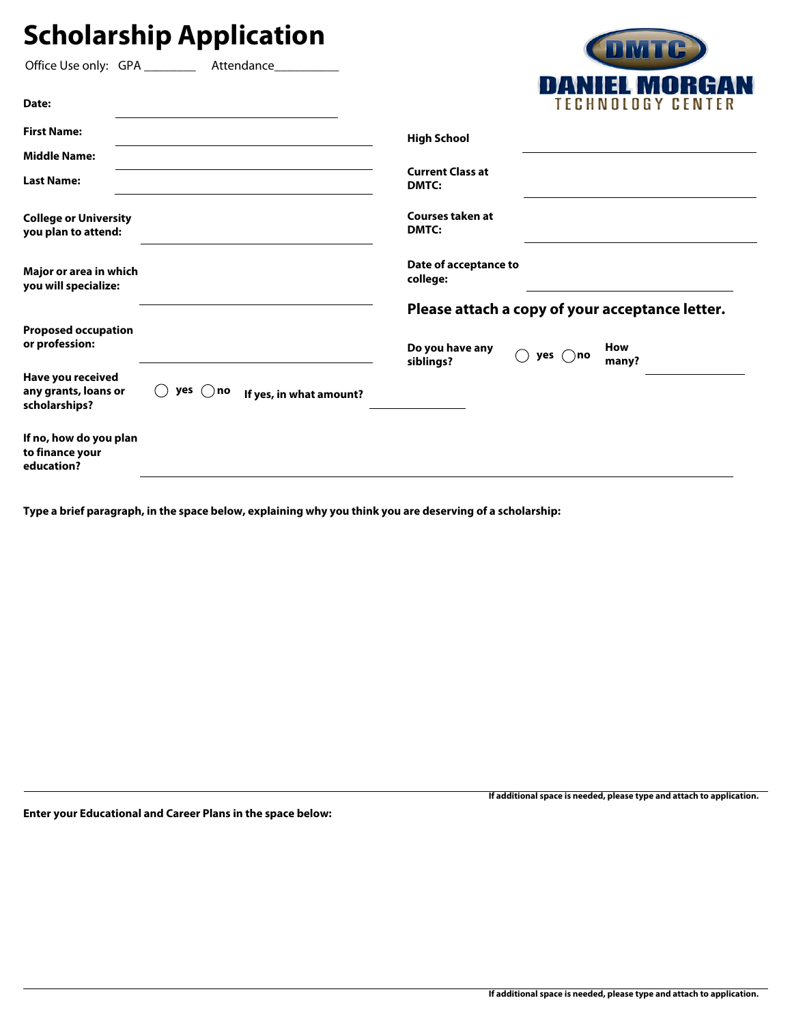## **Scholarship Application**

|                                                            |         |                         |                                                 |                  | UNIL G            |  |
|------------------------------------------------------------|---------|-------------------------|-------------------------------------------------|------------------|-------------------|--|
| Office Use only: GPA _______                               |         | Attendance___________   |                                                 |                  |                   |  |
| Date:                                                      |         |                         |                                                 |                  | TECHNOLOGY CENTER |  |
| <b>First Name:</b>                                         |         |                         | <b>High School</b>                              |                  |                   |  |
| <b>Middle Name:</b>                                        |         |                         |                                                 |                  |                   |  |
| <b>Last Name:</b>                                          |         |                         | <b>Current Class at</b><br>DMTC:                |                  |                   |  |
| <b>College or University</b><br>you plan to attend:        |         |                         | Courses taken at<br>DMTC:                       |                  |                   |  |
| Major or area in which<br>you will specialize:             |         |                         | Date of acceptance to<br>college:               |                  |                   |  |
|                                                            |         |                         | Please attach a copy of your acceptance letter. |                  |                   |  |
| <b>Proposed occupation</b><br>or profession:               |         |                         | Do you have any<br>siblings?                    | yes $\bigcap$ no | How<br>many?      |  |
| Have you received<br>any grants, loans or<br>scholarships? | yes()no | If yes, in what amount? |                                                 |                  |                   |  |
| If no, how do you plan<br>to finance your<br>education?    |         |                         |                                                 |                  |                   |  |
|                                                            |         |                         |                                                 |                  |                   |  |

**Type a brief paragraph, in the space below, explaining why you think you are deserving of a scholarship:**

**Enter your Educational and Career Plans in the space below:** 

**If additional space is needed, please type and attach to application.**

**CONTRACTOR**